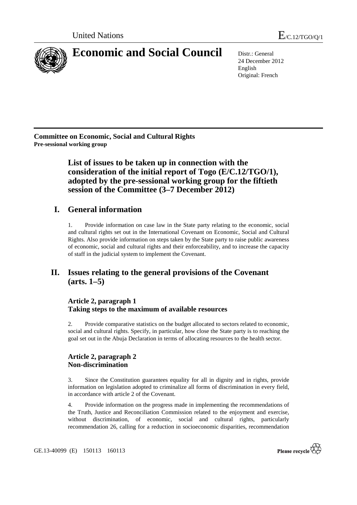

24 December 2012 English Original: French

**Committee on Economic, Social and Cultural Rights Pre-sessional working group** 

> **List of issues to be taken up in connection with the consideration of the initial report of Togo (E/C.12/TGO/1), adopted by the pre-sessional working group for the fiftieth session of the Committee (3–7 December 2012)**

# **I. General information**

1. Provide information on case law in the State party relating to the economic, social and cultural rights set out in the International Covenant on Economic, Social and Cultural Rights. Also provide information on steps taken by the State party to raise public awareness of economic, social and cultural rights and their enforceability, and to increase the capacity of staff in the judicial system to implement the Covenant.

# **II. Issues relating to the general provisions of the Covenant (arts. 1–5)**

# **Article 2, paragraph 1 Taking steps to the maximum of available resources**

2. Provide comparative statistics on the budget allocated to sectors related to economic, social and cultural rights. Specify, in particular, how close the State party is to reaching the goal set out in the Abuja Declaration in terms of allocating resources to the health sector.

# **Article 2, paragraph 2 Non-discrimination**

3. Since the Constitution guarantees equality for all in dignity and in rights, provide information on legislation adopted to criminalize all forms of discrimination in every field, in accordance with article 2 of the Covenant.

4. Provide information on the progress made in implementing the recommendations of the Truth, Justice and Reconciliation Commission related to the enjoyment and exercise, without discrimination, of economic, social and cultural rights, particularly recommendation 26, calling for a reduction in socioeconomic disparities, recommendation

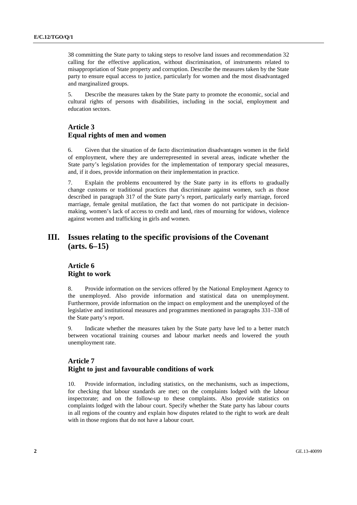38 committing the State party to taking steps to resolve land issues and recommendation 32 calling for the effective application, without discrimination, of instruments related to misappropriation of State property and corruption. Describe the measures taken by the State party to ensure equal access to justice, particularly for women and the most disadvantaged and marginalized groups.

5. Describe the measures taken by the State party to promote the economic, social and cultural rights of persons with disabilities, including in the social, employment and education sectors.

### **Article 3 Equal rights of men and women**

6. Given that the situation of de facto discrimination disadvantages women in the field of employment, where they are underrepresented in several areas, indicate whether the State party's legislation provides for the implementation of temporary special measures, and, if it does, provide information on their implementation in practice.

7. Explain the problems encountered by the State party in its efforts to gradually change customs or traditional practices that discriminate against women, such as those described in paragraph 317 of the State party's report, particularly early marriage, forced marriage, female genital mutilation, the fact that women do not participate in decisionmaking, women's lack of access to credit and land, rites of mourning for widows, violence against women and trafficking in girls and women.

# **III. Issues relating to the specific provisions of the Covenant (arts. 6–15)**

### **Article 6 Right to work**

8. Provide information on the services offered by the National Employment Agency to the unemployed. Also provide information and statistical data on unemployment. Furthermore, provide information on the impact on employment and the unemployed of the legislative and institutional measures and programmes mentioned in paragraphs 331–338 of the State party's report.

9. Indicate whether the measures taken by the State party have led to a better match between vocational training courses and labour market needs and lowered the youth unemployment rate.

# **Article 7 Right to just and favourable conditions of work**

10. Provide information, including statistics, on the mechanisms, such as inspections, for checking that labour standards are met; on the complaints lodged with the labour inspectorate; and on the follow-up to these complaints. Also provide statistics on complaints lodged with the labour court. Specify whether the State party has labour courts in all regions of the country and explain how disputes related to the right to work are dealt with in those regions that do not have a labour court.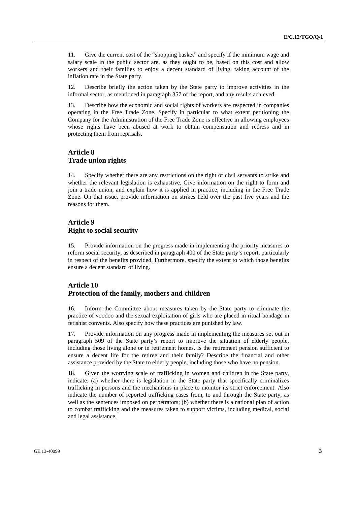11. Give the current cost of the "shopping basket" and specify if the minimum wage and salary scale in the public sector are, as they ought to be, based on this cost and allow workers and their families to enjoy a decent standard of living, taking account of the inflation rate in the State party.

12. Describe briefly the action taken by the State party to improve activities in the informal sector, as mentioned in paragraph 357 of the report, and any results achieved.

13. Describe how the economic and social rights of workers are respected in companies operating in the Free Trade Zone. Specify in particular to what extent petitioning the Company for the Administration of the Free Trade Zone is effective in allowing employees whose rights have been abused at work to obtain compensation and redress and in protecting them from reprisals.

#### **Article 8 Trade union rights**

14. Specify whether there are any restrictions on the right of civil servants to strike and whether the relevant legislation is exhaustive. Give information on the right to form and join a trade union, and explain how it is applied in practice, including in the Free Trade Zone. On that issue, provide information on strikes held over the past five years and the reasons for them.

### **Article 9 Right to social security**

15. Provide information on the progress made in implementing the priority measures to reform social security, as described in paragraph 400 of the State party's report, particularly in respect of the benefits provided. Furthermore, specify the extent to which those benefits ensure a decent standard of living.

### **Article 10 Protection of the family, mothers and children**

16. Inform the Committee about measures taken by the State party to eliminate the practice of voodoo and the sexual exploitation of girls who are placed in ritual bondage in fetishist convents. Also specify how these practices are punished by law.

17. Provide information on any progress made in implementing the measures set out in paragraph 509 of the State party's report to improve the situation of elderly people, including those living alone or in retirement homes. Is the retirement pension sufficient to ensure a decent life for the retiree and their family? Describe the financial and other assistance provided by the State to elderly people, including those who have no pension.

18. Given the worrying scale of trafficking in women and children in the State party, indicate: (a) whether there is legislation in the State party that specifically criminalizes trafficking in persons and the mechanisms in place to monitor its strict enforcement. Also indicate the number of reported trafficking cases from, to and through the State party, as well as the sentences imposed on perpetrators; (b) whether there is a national plan of action to combat trafficking and the measures taken to support victims, including medical, social and legal assistance.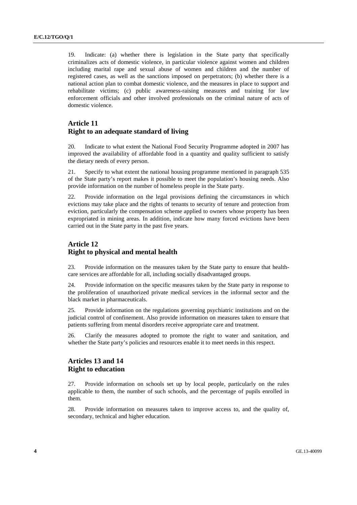19. Indicate: (a) whether there is legislation in the State party that specifically criminalizes acts of domestic violence, in particular violence against women and children including marital rape and sexual abuse of women and children and the number of registered cases, as well as the sanctions imposed on perpetrators; (b) whether there is a national action plan to combat domestic violence, and the measures in place to support and rehabilitate victims; (c) public awareness-raising measures and training for law enforcement officials and other involved professionals on the criminal nature of acts of domestic violence.

# **Article 11 Right to an adequate standard of living**

20. Indicate to what extent the National Food Security Programme adopted in 2007 has improved the availability of affordable food in a quantity and quality sufficient to satisfy the dietary needs of every person.

21. Specify to what extent the national housing programme mentioned in paragraph 535 of the State party's report makes it possible to meet the population's housing needs. Also provide information on the number of homeless people in the State party.

22. Provide information on the legal provisions defining the circumstances in which evictions may take place and the rights of tenants to security of tenure and protection from eviction, particularly the compensation scheme applied to owners whose property has been expropriated in mining areas. In addition, indicate how many forced evictions have been carried out in the State party in the past five years.

# **Article 12 Right to physical and mental health**

23. Provide information on the measures taken by the State party to ensure that healthcare services are affordable for all, including socially disadvantaged groups.

24. Provide information on the specific measures taken by the State party in response to the proliferation of unauthorized private medical services in the informal sector and the black market in pharmaceuticals.

25. Provide information on the regulations governing psychiatric institutions and on the judicial control of confinement. Also provide information on measures taken to ensure that patients suffering from mental disorders receive appropriate care and treatment.

26. Clarify the measures adopted to promote the right to water and sanitation, and whether the State party's policies and resources enable it to meet needs in this respect.

# **Articles 13 and 14 Right to education**

27. Provide information on schools set up by local people, particularly on the rules applicable to them, the number of such schools, and the percentage of pupils enrolled in them.

28. Provide information on measures taken to improve access to, and the quality of, secondary, technical and higher education.